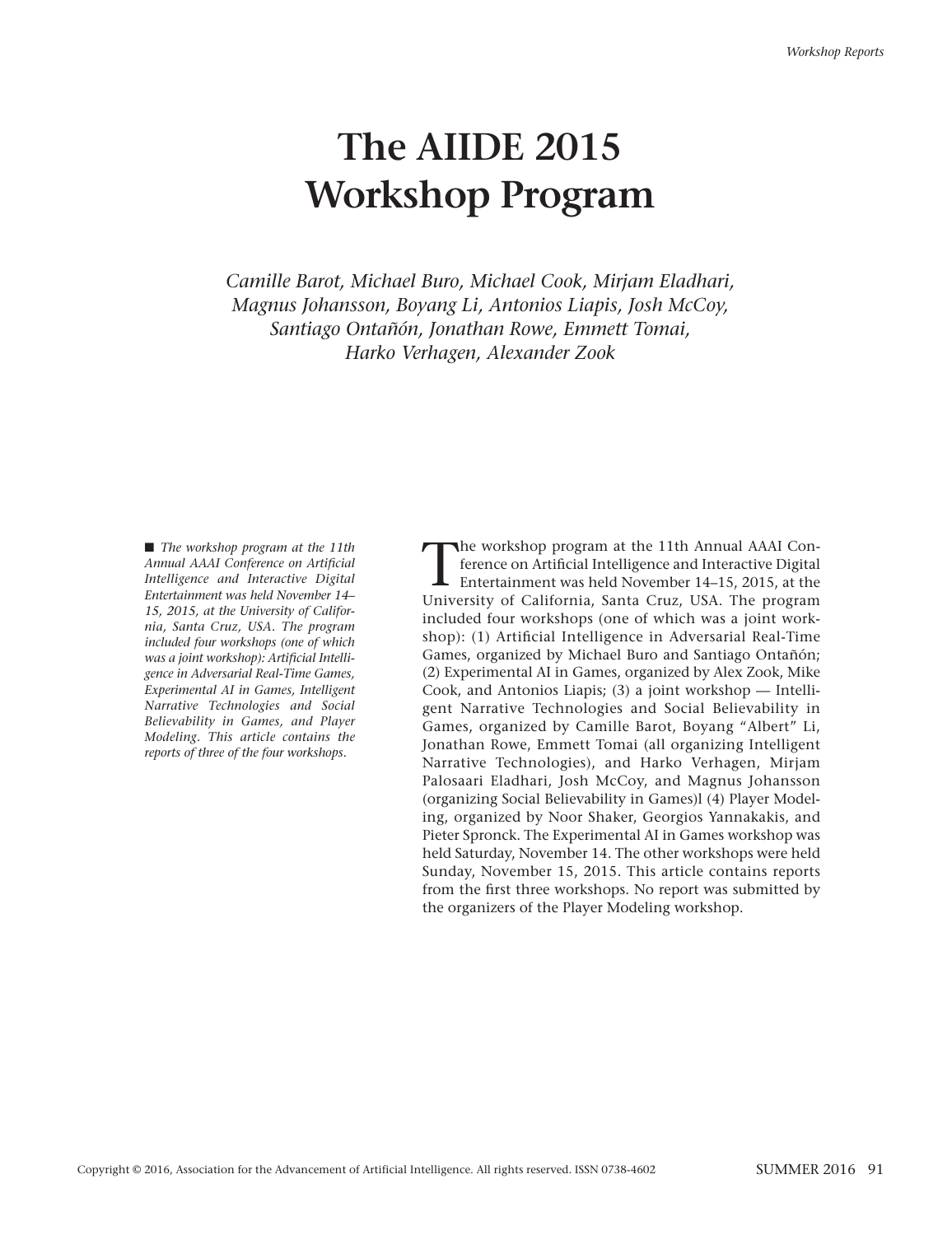# **The AIIDE 2015 Workshop Program**

*Camille Barot, Michael Buro, Michael Cook, Mirjam Eladhari, Magnus Johansson, Boyang Li, Antonios Liapis, Josh McCoy, Santiago Ontañón, Jonathan Rowe, Emmett Tomai, Harko Verhagen, Alexander Zook* 

■ *The workshop program at the 11th Annual AAAI Conference on Artificial Intelligence and Interactive Digital Entertainment was held November 14– 15, 2015, at the University of California, Santa Cruz, USA. The program included four workshops (one of which was a joint workshop): Artificial Intelligence in Adversarial Real-Time Games, Experimental AI in Games, Intelligent Narrative Technologies and Social Believability in Games, and Player Modeling. This article contains the reports of three of the four workshops.*

The workshop program at the 11th Annual AAAI Conference on Artificial Intelligence and Interactive Digital<br>Entertainment was held November 14–15, 2015, at the<br>University of Colifornia, Santa Cuye, USA, The program ference on Artificial Intelligence and Interactive Digital University of California, Santa Cruz, USA. The program included four workshops (one of which was a joint workshop): (1) Artificial Intelligence in Adversarial Real-Time Games, organized by Michael Buro and Santiago Ontañón; (2) Experimental AI in Games, organized by Alex Zook, Mike Cook, and Antonios Liapis; (3) a joint workshop — Intelligent Narrative Technologies and Social Believability in Games, organized by Camille Barot, Boyang "Albert" Li, Jonathan Rowe, Emmett Tomai (all organizing Intelligent Narrative Technologies), and Harko Verhagen, Mirjam Palosaari Eladhari, Josh McCoy, and Magnus Johansson (organizing Social Believability in Games)l (4) Player Modeling, organized by Noor Shaker, Georgios Yannakakis, and Pieter Spronck. The Experimental AI in Games workshop was held Saturday, November 14. The other workshops were held Sunday, November 15, 2015. This article contains reports from the first three workshops. No report was submitted by the organizers of the Player Modeling workshop.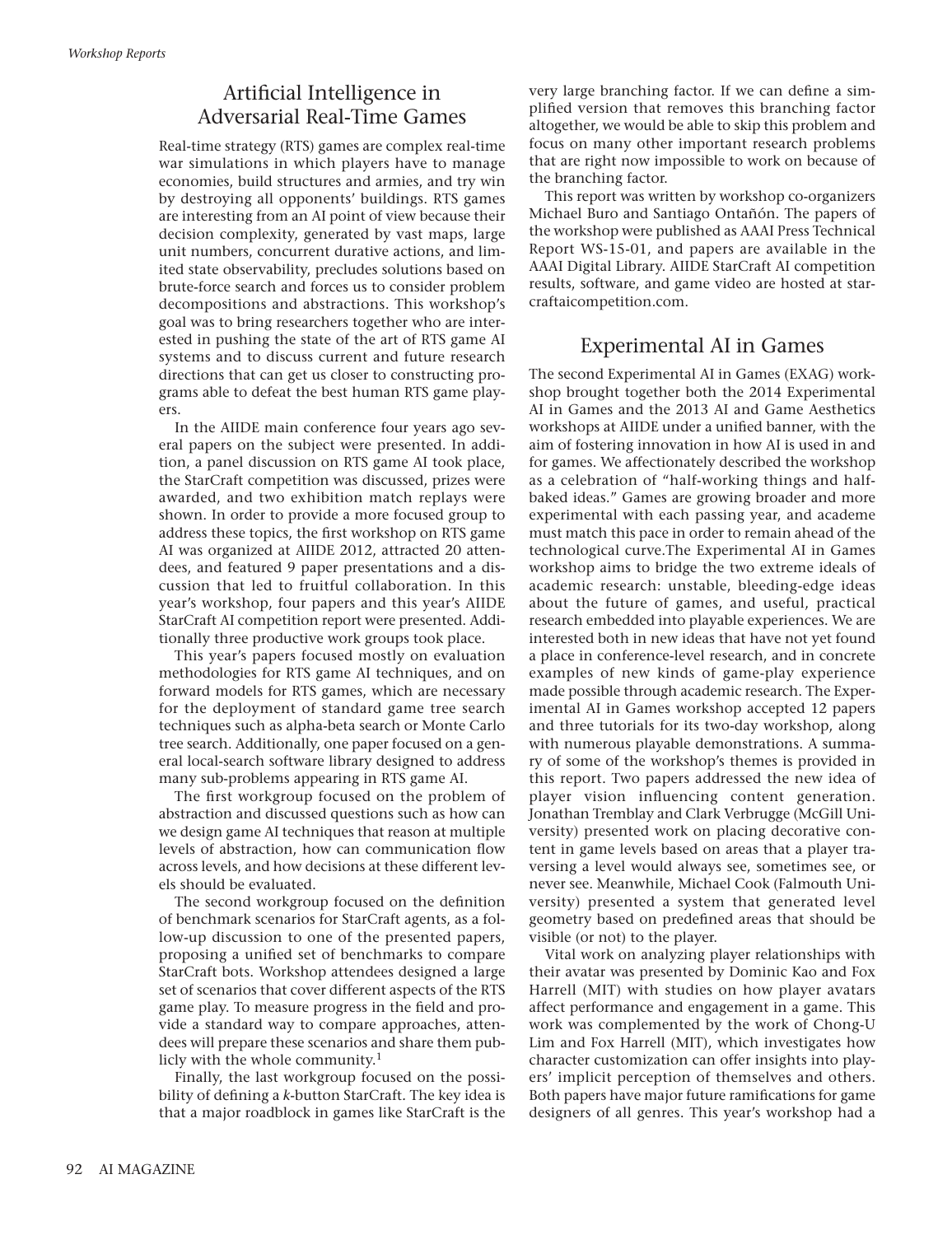### Artificial Intelligence in Adversarial Real-Time Games

Real-time strategy (RTS) games are complex real-time war simulations in which players have to manage economies, build structures and armies, and try win by destroying all opponents' buildings. RTS games are interesting from an AI point of view because their decision complexity, generated by vast maps, large unit numbers, concurrent durative actions, and limited state observability, precludes solutions based on brute-force search and forces us to consider problem decompositions and abstractions. This workshop's goal was to bring researchers together who are interested in pushing the state of the art of RTS game AI systems and to discuss current and future research directions that can get us closer to constructing programs able to defeat the best human RTS game players.

In the AIIDE main conference four years ago several papers on the subject were presented. In addition, a panel discussion on RTS game AI took place, the StarCraft competition was discussed, prizes were awarded, and two exhibition match replays were shown. In order to provide a more focused group to address these topics, the first workshop on RTS game AI was organized at AIIDE 2012, attracted 20 attendees, and featured 9 paper presentations and a discussion that led to fruitful collaboration. In this year's workshop, four papers and this year's AIIDE StarCraft AI competition report were presented. Additionally three productive work groups took place.

This year's papers focused mostly on evaluation methodologies for RTS game AI techniques, and on forward models for RTS games, which are necessary for the deployment of standard game tree search techniques such as alpha-beta search or Monte Carlo tree search. Additionally, one paper focused on a general local-search software library designed to address many sub-problems appearing in RTS game AI.

The first workgroup focused on the problem of abstraction and discussed questions such as how can we design game AI techniques that reason at multiple levels of abstraction, how can communication flow across levels, and how decisions at these different levels should be evaluated.

The second workgroup focused on the definition of benchmark scenarios for StarCraft agents, as a follow-up discussion to one of the presented papers, proposing a unified set of benchmarks to compare StarCraft bots. Workshop attendees designed a large set of scenarios that cover different aspects of the RTS game play. To measure progress in the field and provide a standard way to compare approaches, attendees will prepare these scenarios and share them publicly with the whole community.<sup>1</sup>

Finally, the last workgroup focused on the possibility of defining a *k*-button StarCraft*.* The key idea is that a major roadblock in games like StarCraft is the very large branching factor. If we can define a simplified version that removes this branching factor altogether, we would be able to skip this problem and focus on many other important research problems that are right now impossible to work on because of the branching factor.

This report was written by workshop co-organizers Michael Buro and Santiago Ontañón. The papers of the workshop were published as AAAI Press Technical Report WS-15-01, and papers are available in the AAAI Digital Library. AIIDE StarCraft AI competition results, software, and game video are hosted at starcraftaicompetition.com.

#### Experimental AI in Games

The second Experimental AI in Games (EXAG) workshop brought together both the 2014 Experimental AI in Games and the 2013 AI and Game Aesthetics workshops at AIIDE under a unified banner, with the aim of fostering innovation in how AI is used in and for games. We affectionately described the workshop as a celebration of "half-working things and halfbaked ideas." Games are growing broader and more experimental with each passing year, and academe must match this pace in order to remain ahead of the technological curve.The Experimental AI in Games workshop aims to bridge the two extreme ideals of academic research: unstable, bleeding-edge ideas about the future of games, and useful, practical research embedded into playable experiences. We are interested both in new ideas that have not yet found a place in conference-level research, and in concrete examples of new kinds of game-play experience made possible through academic research. The Experimental AI in Games workshop accepted 12 papers and three tutorials for its two-day workshop, along with numerous playable demonstrations. A summary of some of the workshop's themes is provided in this report. Two papers addressed the new idea of player vision influencing content generation. Jonathan Tremblay and Clark Verbrugge (McGill University) presented work on placing decorative content in game levels based on areas that a player traversing a level would always see, sometimes see, or never see. Meanwhile, Michael Cook (Falmouth University) presented a system that generated level geometry based on predefined areas that should be visible (or not) to the player.

Vital work on analyzing player relationships with their avatar was presented by Dominic Kao and Fox Harrell (MIT) with studies on how player avatars affect performance and engagement in a game. This work was complemented by the work of Chong-U Lim and Fox Harrell (MIT), which investigates how character customization can offer insights into players' implicit perception of themselves and others. Both papers have major future ramifications for game designers of all genres. This year's workshop had a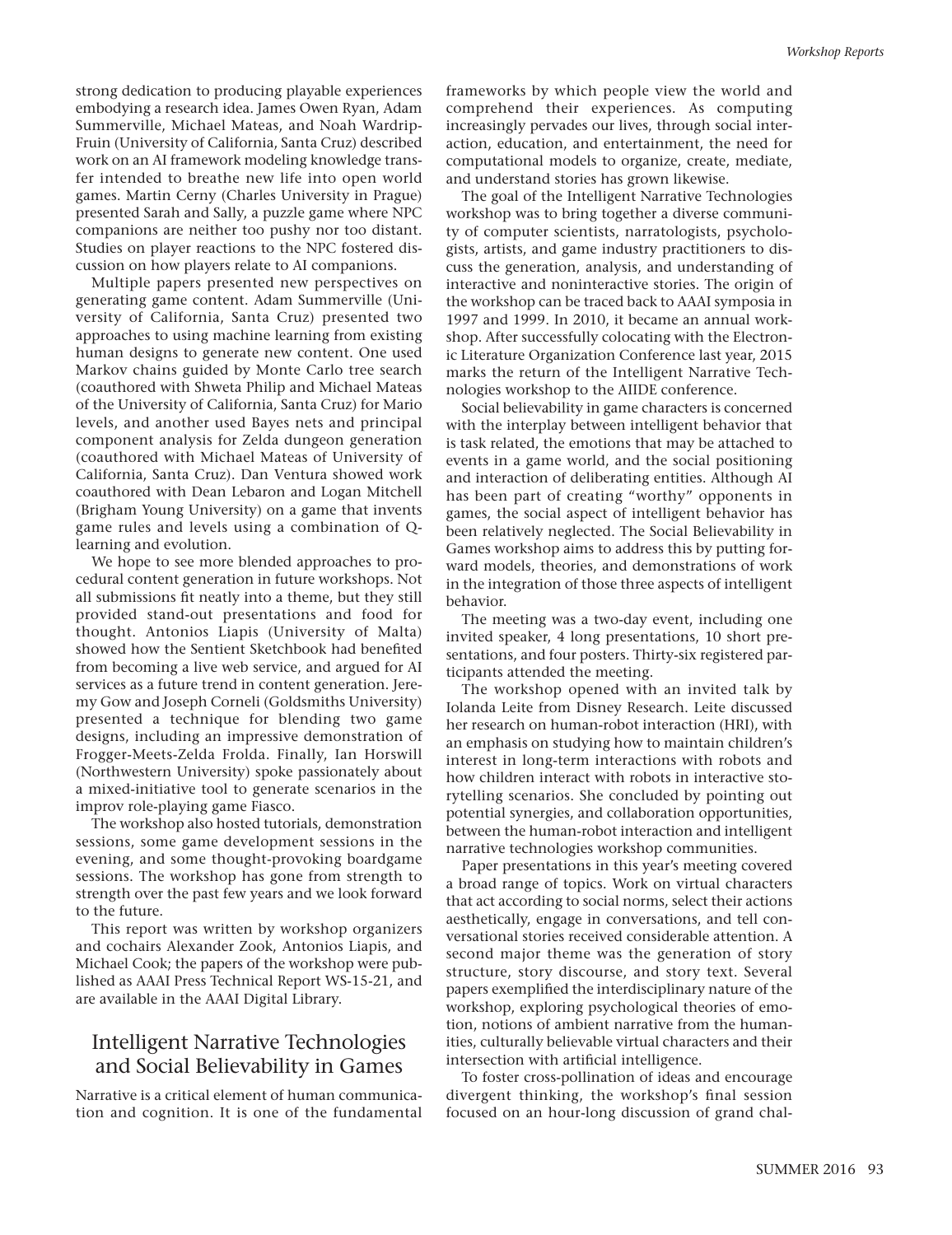strong dedication to producing playable experiences embodying a research idea. James Owen Ryan, Adam Summerville, Michael Mateas, and Noah Wardrip-Fruin (University of California, Santa Cruz) described work on an AI framework modeling knowledge transfer intended to breathe new life into open world games. Martin Cerny (Charles University in Prague) presented Sarah and Sally, a puzzle game where NPC companions are neither too pushy nor too distant. Studies on player reactions to the NPC fostered discussion on how players relate to AI companions.

Multiple papers presented new perspectives on generating game content. Adam Summerville (University of California, Santa Cruz) presented two approaches to using machine learning from existing human designs to generate new content. One used Markov chains guided by Monte Carlo tree search (coauthored with Shweta Philip and Michael Mateas of the University of California, Santa Cruz) for Mario levels, and another used Bayes nets and principal component analysis for Zelda dungeon generation (coauthored with Michael Mateas of University of California, Santa Cruz). Dan Ventura showed work coauthored with Dean Lebaron and Logan Mitchell (Brigham Young University) on a game that invents game rules and levels using a combination of Qlearning and evolution.

We hope to see more blended approaches to procedural content generation in future workshops. Not all submissions fit neatly into a theme, but they still provided stand-out presentations and food for thought. Antonios Liapis (University of Malta) showed how the Sentient Sketchbook had benefited from becoming a live web service, and argued for AI services as a future trend in content generation. Jeremy Gow and Joseph Corneli (Goldsmiths University) presented a technique for blending two game designs, including an impressive demonstration of Frogger-Meets-Zelda Frolda. Finally, Ian Horswill (Northwestern University) spoke passionately about a mixed-initiative tool to generate scenarios in the improv role-playing game Fiasco.

The workshop also hosted tutorials, demonstration sessions, some game development sessions in the evening, and some thought-provoking boardgame sessions. The workshop has gone from strength to strength over the past few years and we look forward to the future.

This report was written by workshop organizers and cochairs Alexander Zook, Antonios Liapis, and Michael Cook; the papers of the workshop were published as AAAI Press Technical Report WS-15-21, and are available in the AAAI Digital Library.

#### Intelligent Narrative Technologies and Social Believability in Games

Narrative is a critical element of human communication and cognition. It is one of the fundamental frameworks by which people view the world and comprehend their experiences. As computing increasingly pervades our lives, through social interaction, education, and entertainment, the need for computational models to organize, create, mediate, and understand stories has grown likewise.

The goal of the Intelligent Narrative Technologies workshop was to bring together a diverse community of computer scientists, narratologists, psychologists, artists, and game industry practitioners to discuss the generation, analysis, and understanding of interactive and noninteractive stories. The origin of the workshop can be traced back to AAAI symposia in 1997 and 1999. In 2010, it became an annual workshop. After successfully colocating with the Electronic Literature Organization Conference last year, 2015 marks the return of the Intelligent Narrative Technologies workshop to the AIIDE conference.

Social believability in game characters is concerned with the interplay between intelligent behavior that is task related, the emotions that may be attached to events in a game world, and the social positioning and interaction of deliberating entities. Although AI has been part of creating "worthy" opponents in games, the social aspect of intelligent behavior has been relatively neglected. The Social Believability in Games workshop aims to address this by putting forward models, theories, and demonstrations of work in the integration of those three aspects of intelligent behavior.

The meeting was a two-day event, including one invited speaker, 4 long presentations, 10 short presentations, and four posters. Thirty-six registered participants attended the meeting.

The workshop opened with an invited talk by Iolanda Leite from Disney Research. Leite discussed her research on human-robot interaction (HRI), with an emphasis on studying how to maintain children's interest in long-term interactions with robots and how children interact with robots in interactive storytelling scenarios. She concluded by pointing out potential synergies, and collaboration opportunities, between the human-robot interaction and intelligent narrative technologies workshop communities.

Paper presentations in this year's meeting covered a broad range of topics. Work on virtual characters that act according to social norms, select their actions aesthetically, engage in conversations, and tell conversational stories received considerable attention. A second major theme was the generation of story structure, story discourse, and story text. Several papers exemplified the interdisciplinary nature of the workshop, exploring psychological theories of emotion, notions of ambient narrative from the humanities, culturally believable virtual characters and their intersection with artificial intelligence.

To foster cross-pollination of ideas and encourage divergent thinking, the workshop's final session focused on an hour-long discussion of grand chal-